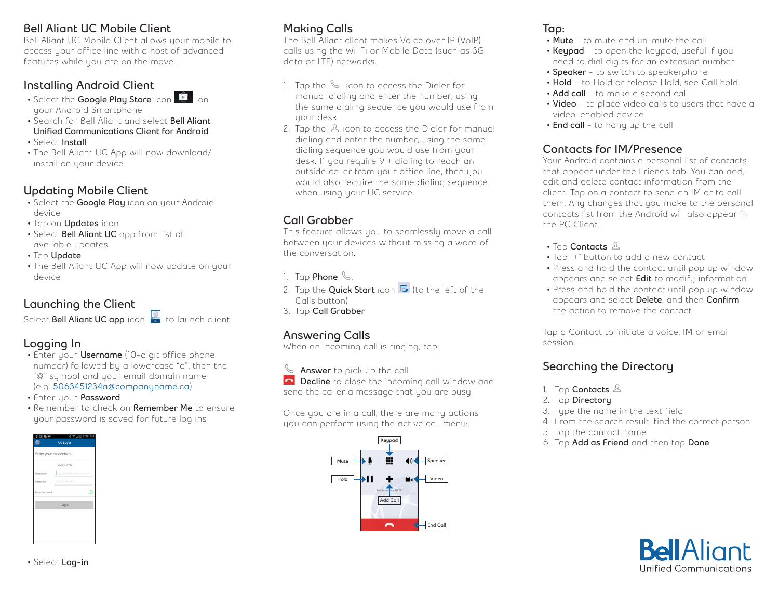#### **Bell Aliant UC Mobile Client**

Bell Aliant UC Mobile Client allows your mobile to access your office line with a host of advanced features while you are on the move.

### **Installing Android Client**

- Select the **Google Play Store** icon **C** on your Android Smartphone
- Search for Bell Aliant and select **Bell Aliant Unified Communications Client for Android**
- Select **Install**
- The Bell Aliant UC App will now download/ install on your device

### **Updating Mobile Client**

- Select the **Google Play** icon on your Android device
- Tap on **Updates** icon
- Select **Bell Aliant UC** app from list of available updates
- Tap **Update**
- The Bell Aliant UC App will now update on your device

## **Launching the Client**

Select **Bell Aliant UC app** icon to launch client

## **Logging In**

- Enter your **Username** (10-digit office phone number) followed by a lowercase "a", then the "@" symbol and your email domain name (e.g. **5063451234a@companyname.ca**)
- Enter your **Password**
- Remember to check on **Remember Me** to ensure your password is saved for future log ins



# **Making Calls**

The Bell Aliant client makes Voice over IP (VoIP) calls using the Wi-Fi or Mobile Data (such as 3G data or LTE) networks.

- 1. Tap the  $\sim$  icon to access the Dialer for manual dialing and enter the number, using the same dialing sequence you would use from your desk
- 2. Tap the  $\Delta$  icon to access the Dialer for manual dialing and enter the number, using the same dialing sequence you would use from your desk. If you require 9 + dialing to reach an outside caller from your office line, then you would also require the same dialing sequence when using your UC service.

# **Call Grabber**

This feature allows you to seamlessly move a call between your devices without missing a word of the conversation.

- 1. Tap **Phone** .
- 2. Tap the **Quick Start** icon  $\blacksquare$  (to the left of the Calls button)
- 3. Tap **Call Grabber**

# **Answering Calls**

When an incoming call is ringing, tap:

**Answer** to pick up the call **Decline** to close the incoming call window and send the caller a message that you are busy

Once you are in a call, there are many actions you can perform using the active call menu:



## **Tap:**

- **• Mute** to mute and un-mute the call
- **• Keypad** to open the keypad, useful if you need to dial digits for an extension number
- **• Speaker** to switch to speakerphone
- **• Hold** to Hold or release Hold, see Call hold
- **• Add call** to make a second call.
- **• Video** to place video calls to users that have a video-enabled device
- **• End call** to hang up the call

#### **Contacts for IM/Presence**

Your Android contains a personal list of contacts that appear under the Friends tab. You can add, edit and delete contact information from the client. Tap on a contact to send an IM or to call them. Any changes that you make to the personal contacts list from the Android will also appear in the PC Client.

- Tap **Contacts**  $\Delta$
- Tap "+" button to add a new contact
- Press and hold the contact until pop up window appears and select **Edit** to modify information
- Press and hold the contact until pop up window appears and select **Delete**, and then **Confirm** the action to remove the contact

Tap a Contact to initiate a voice, IM or email session.

# **Searching the Directory**

- 1. Tap **Contacts**
- 2. Tap **Directory**
- 3. Type the name in the text field
- 4. From the search result, find the correct person
- 5. Tap the contact name
- 6. Tap **Add as Friend** and then tap **Done**